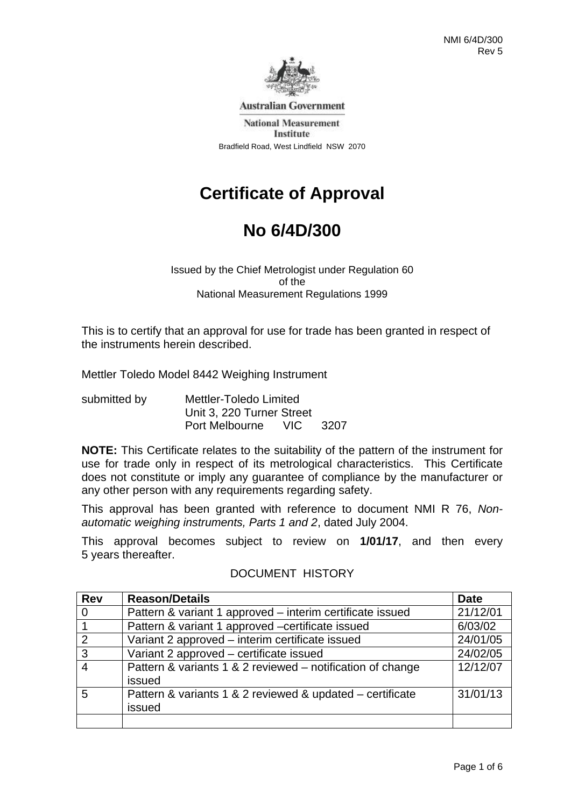

**Australian Government** 

**National Measurement** Institute Bradfield Road, West Lindfield NSW 2070

# **Certificate of Approval**

# **No 6/4D/300**

Issued by the Chief Metrologist under Regulation 60 of the National Measurement Regulations 1999

This is to certify that an approval for use for trade has been granted in respect of the instruments herein described.

Mettler Toledo Model 8442 Weighing Instrument

| submitted by | Mettler-Toledo Limited    |          |  |
|--------------|---------------------------|----------|--|
|              | Unit 3, 220 Turner Street |          |  |
|              | Port Melbourne            | VIC 3207 |  |

**NOTE:** This Certificate relates to the suitability of the pattern of the instrument for use for trade only in respect of its metrological characteristics. This Certificate does not constitute or imply any guarantee of compliance by the manufacturer or any other person with any requirements regarding safety.

This approval has been granted with reference to document NMI R 76, *Nonautomatic weighing instruments, Parts 1 and 2*, dated July 2004.

This approval becomes subject to review on **1/01/17**, and then every 5 years thereafter.

| <b>Rev</b> | <b>Reason/Details</b>                                      | <b>Date</b> |
|------------|------------------------------------------------------------|-------------|
| $\Omega$   | Pattern & variant 1 approved – interim certificate issued  | 21/12/01    |
|            | Pattern & variant 1 approved -certificate issued           | 6/03/02     |
| 2          | Variant 2 approved - interim certificate issued            | 24/01/05    |
| 3          | Variant 2 approved - certificate issued                    | 24/02/05    |
|            | Pattern & variants 1 & 2 reviewed – notification of change | 12/12/07    |
|            | issued                                                     |             |
| 5          | Pattern & variants 1 & 2 reviewed & updated – certificate  | 31/01/13    |
|            | issued                                                     |             |
|            |                                                            |             |

### DOCUMENT HISTORY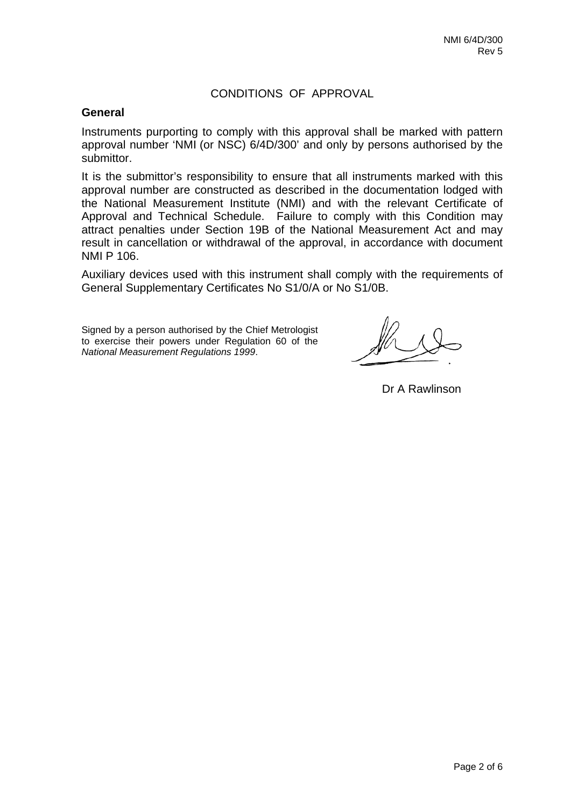## CONDITIONS OF APPROVAL

#### **General**

Instruments purporting to comply with this approval shall be marked with pattern approval number 'NMI (or NSC) 6/4D/300' and only by persons authorised by the submittor.

It is the submittor's responsibility to ensure that all instruments marked with this approval number are constructed as described in the documentation lodged with the National Measurement Institute (NMI) and with the relevant Certificate of Approval and Technical Schedule. Failure to comply with this Condition may attract penalties under Section 19B of the National Measurement Act and may result in cancellation or withdrawal of the approval, in accordance with document NMI P 106.

Auxiliary devices used with this instrument shall comply with the requirements of General Supplementary Certificates No S1/0/A or No S1/0B.

Signed by a person authorised by the Chief Metrologist to exercise their powers under Regulation 60 of the *National Measurement Regulations 1999*.

Dr A Rawlinson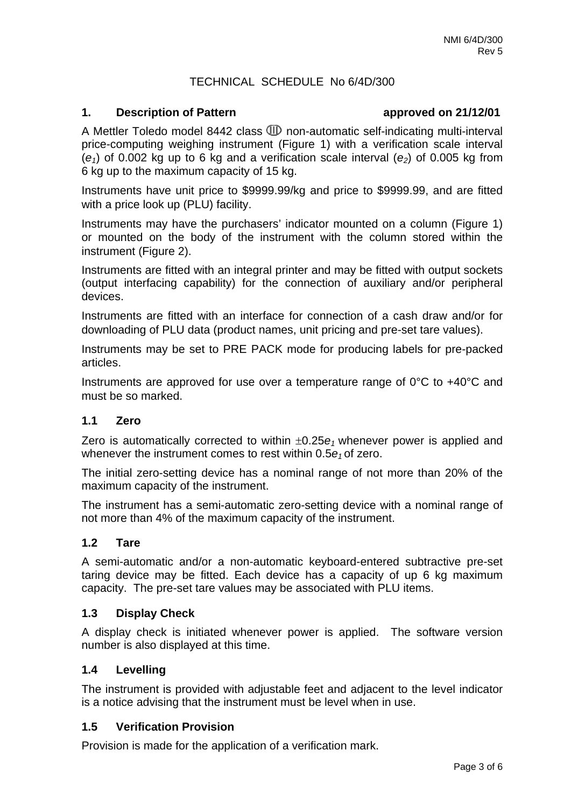## TECHNICAL SCHEDULE No 6/4D/300

#### **1. Description of Pattern approved on 21/12/01**

A Mettler Toledo model 8442 class  $I\!\!\!\!D$  non-automatic self-indicating multi-interval price-computing weighing instrument (Figure 1) with a verification scale interval  $(e_1)$  of 0.002 kg up to 6 kg and a verification scale interval  $(e_2)$  of 0.005 kg from 6 kg up to the maximum capacity of 15 kg.

Instruments have unit price to \$9999.99/kg and price to \$9999.99, and are fitted with a price look up (PLU) facility.

Instruments may have the purchasers' indicator mounted on a column (Figure 1) or mounted on the body of the instrument with the column stored within the instrument (Figure 2).

Instruments are fitted with an integral printer and may be fitted with output sockets (output interfacing capability) for the connection of auxiliary and/or peripheral devices.

Instruments are fitted with an interface for connection of a cash draw and/or for downloading of PLU data (product names, unit pricing and pre-set tare values).

Instruments may be set to PRE PACK mode for producing labels for pre-packed articles.

Instruments are approved for use over a temperature range of 0°C to +40°C and must be so marked.

#### **1.1 Zero**

Zero is automatically corrected to within  $\pm 0.25e_1$  whenever power is applied and whenever the instrument comes to rest within 0.5 $e_1$  of zero.

The initial zero-setting device has a nominal range of not more than 20% of the maximum capacity of the instrument.

The instrument has a semi-automatic zero-setting device with a nominal range of not more than 4% of the maximum capacity of the instrument.

#### **1.2 Tare**

A semi-automatic and/or a non-automatic keyboard-entered subtractive pre-set taring device may be fitted. Each device has a capacity of up 6 kg maximum capacity. The pre-set tare values may be associated with PLU items.

#### **1.3 Display Check**

A display check is initiated whenever power is applied.The software version number is also displayed at this time.

### **1.4 Levelling**

The instrument is provided with adjustable feet and adjacent to the level indicator is a notice advising that the instrument must be level when in use.

### **1.5 Verification Provision**

Provision is made for the application of a verification mark.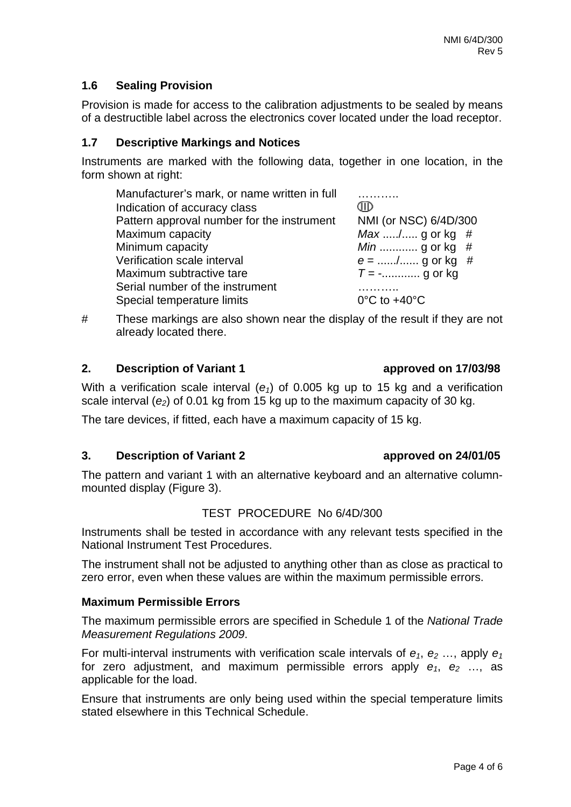# **1.6 Sealing Provision**

Provision is made for access to the calibration adjustments to be sealed by means of a destructible label across the electronics cover located under the load receptor.

# **1.7 Descriptive Markings and Notices**

Instruments are marked with the following data, together in one location, in the form shown at right:

| Manufacturer's mark, or name written in full<br>Indication of accuracy class | aid                               |
|------------------------------------------------------------------------------|-----------------------------------|
| Pattern approval number for the instrument                                   | NMI (or NSC) 6/4D/300             |
| Maximum capacity                                                             | <i>Max </i> / g or kg #           |
| Minimum capacity                                                             | <i>Min</i> g or kg #              |
| Verification scale interval                                                  | $e =$ / g or kg #                 |
| Maximum subtractive tare                                                     | $T =$ - g or kg                   |
| Serial number of the instrument                                              |                                   |
| Special temperature limits                                                   | $0^{\circ}$ C to +40 $^{\circ}$ C |

# These markings are also shown near the display of the result if they are not already located there.

### **2. Description of Variant 1 approved on 17/03/98**

With a verification scale interval  $(e_1)$  of 0.005 kg up to 15 kg and a verification scale interval  $(e_2)$  of 0.01 kg from 15 kg up to the maximum capacity of 30 kg.

The tare devices, if fitted, each have a maximum capacity of 15 kg.

# **3. Description of Variant 2 approved on 24/01/05**

The pattern and variant 1 with an alternative keyboard and an alternative columnmounted display (Figure 3).

# TEST PROCEDURE No 6/4D/300

Instruments shall be tested in accordance with any relevant tests specified in the National Instrument Test Procedures.

The instrument shall not be adjusted to anything other than as close as practical to zero error, even when these values are within the maximum permissible errors.

### **Maximum Permissible Errors**

The maximum permissible errors are specified in Schedule 1 of the *National Trade Measurement Regulations 2009*.

For multi-interval instruments with verification scale intervals of  $e_1$ ,  $e_2$  ..., apply  $e_1$ for zero adjustment, and maximum permissible errors apply  $e_1$ ,  $e_2$  ..., as applicable for the load.

Ensure that instruments are only being used within the special temperature limits stated elsewhere in this Technical Schedule.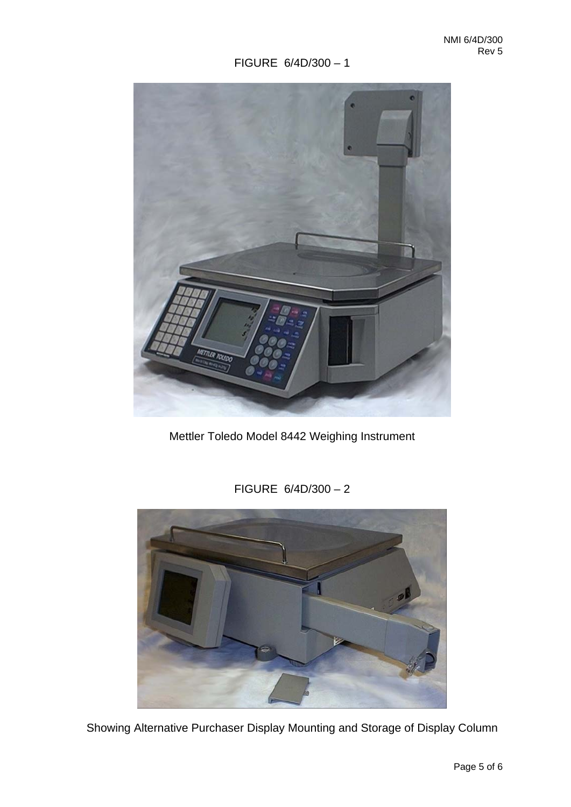# FIGURE 6/4D/300 – 1



Mettler Toledo Model 8442 Weighing Instrument

FIGURE 6/4D/300 – 2



Showing Alternative Purchaser Display Mounting and Storage of Display Column